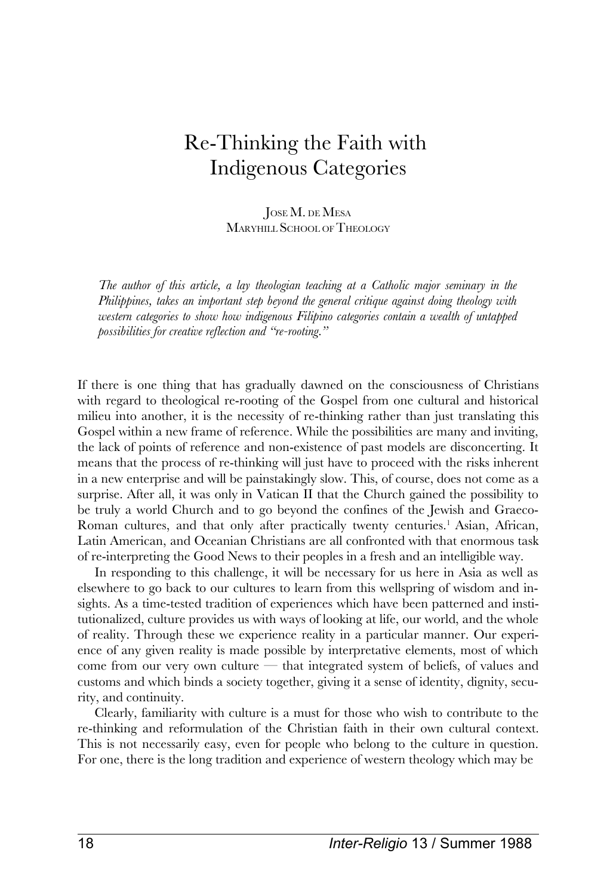# Re-Thinking the Faith with Indigenous Categories

JOSE M. DE MESA MARYHILL SCHOOL OF THEOLOGY

*The author of this article, a lay theologian teaching at a Catholic major seminary in the Philippines, takes an important step beyond the general critique against doing theology with western categories to show how indigenous Filipino categories contain a wealth of untapped possibilities for creative reflection and "re-rooting."*

If there is one thing that has gradually dawned on the consciousness of Christians with regard to theological re-rooting of the Gospel from one cultural and historical milieu into another, it is the necessity of re-thinking rather than just translating this Gospel within a new frame of reference. While the possibilities are many and inviting, the lack of points of reference and non-existence of past models are disconcerting. It means that the process of re-thinking will just have to proceed with the risks inherent in a new enterprise and will be painstakingly slow. This, of course, does not come as a surprise. After all, it was only in Vatican II that the Church gained the possibility to be truly a world Church and to go beyond the confines of the Jewish and Graeco-Roman cultures, and that only after practically twenty centuries.<sup>1</sup> Asian, African, Latin American, and Oceanian Christians are all confronted with that enormous task of re-interpreting the Good News to their peoples in a fresh and an intelligible way.

In responding to this challenge, it will be necessary for us here in Asia as well as elsewhere to go back to our cultures to learn from this wellspring of wisdom and insights. As a time-tested tradition of experiences which have been patterned and institutionalized, culture provides us with ways of looking at life, our world, and the whole of reality. Through these we experience reality in a particular manner. Our experience of any given reality is made possible by interpretative elements, most of which come from our very own culture  $-$  that integrated system of beliefs, of values and customs and which binds a society together, giving it a sense of identity, dignity, security, and continuity.

Clearly, familiarity with culture is a must for those who wish to contribute to the re-thinking and reformulation of the Christian faith in their own cultural context. This is not necessarily easy, even for people who belong to the culture in question. For one, there is the long tradition and experience of western theology which may be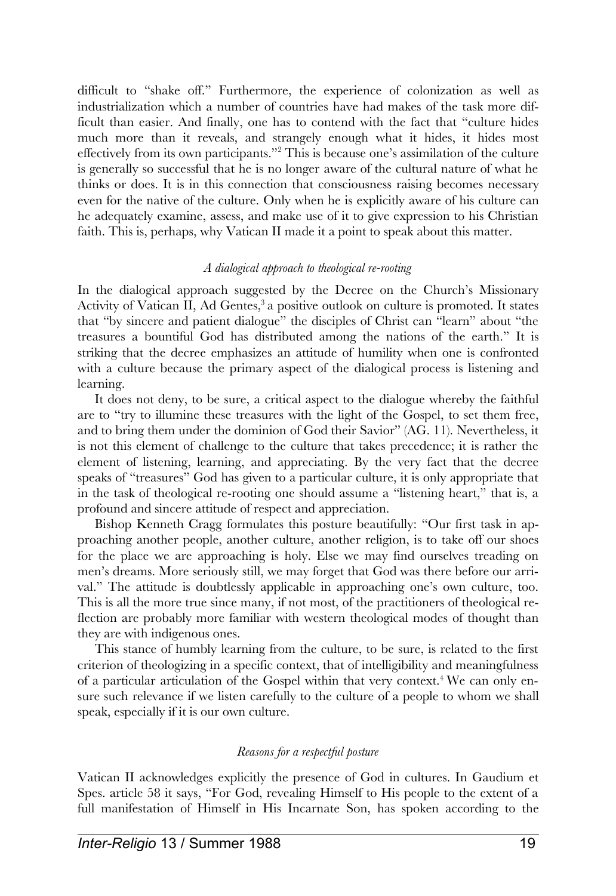difficult to "shake off." Furthermore, the experience of colonization as well as industrialization which a number of countries have had makes of the task more difficult than easier. And finally, one has to contend with the fact that "culture hides much more than it reveals, and strangely enough what it hides, it hides most effectively from its own participants."<sup>2</sup> This is because one's assimilation of the culture is generally so successful that he is no longer aware of the cultural nature of what he thinks or does. It is in this connection that consciousness raising becomes necessary even for the native of the culture. Only when he is explicitly aware of his culture can he adequately examine, assess, and make use of it to give expression to his Christian faith. This is, perhaps, why Vatican II made it a point to speak about this matter.

# *A dialogical approach to theological re-rooting*

In the dialogical approach suggested by the Decree on the Church's Missionary Activity of Vatican II, Ad Gentes,<sup>3</sup> a positive outlook on culture is promoted. It states that "by sincere and patient dialogue" the disciples of Christ can "learn" about "the treasures a bountiful God has distributed among the nations of the earth." It is striking that the decree emphasizes an attitude of humility when one is confronted with a culture because the primary aspect of the dialogical process is listening and learning.

It does not deny, to be sure, a critical aspect to the dialogue whereby the faithful are to "try to illumine these treasures with the light of the Gospel, to set them free, and to bring them under the dominion of God their Savior" (AG. 11). Nevertheless, it is not this element of challenge to the culture that takes precedence; it is rather the element of listening, learning, and appreciating. By the very fact that the decree speaks of "treasures" God has given to a particular culture, it is only appropriate that in the task of theological re-rooting one should assume a "listening heart," that is, a profound and sincere attitude of respect and appreciation.

Bishop Kenneth Cragg formulates this posture beautifully: "Our first task in approaching another people, another culture, another religion, is to take off our shoes for the place we are approaching is holy. Else we may find ourselves treading on men's dreams. More seriously still, we may forget that God was there before our arrival." The attitude is doubtlessly applicable in approaching one's own culture, too. This is all the more true since many, if not most, of the practitioners of theological reflection are probably more familiar with western theological modes of thought than they are with indigenous ones.

This stance of humbly learning from the culture, to be sure, is related to the first criterion of theologizing in a specific context, that of intelligibility and meaningfulness of a particular articulation of the Gospel within that very context.<sup>4</sup> We can only ensure such relevance if we listen carefully to the culture of a people to whom we shall speak, especially if it is our own culture.

### *Reasons for a respectful posture*

Vatican II acknowledges explicitly the presence of God in cultures. In Gaudium et Spes. article 58 it says, "For God, revealing Himself to His people to the extent of a full manifestation of Himself in His Incarnate Son, has spoken according to the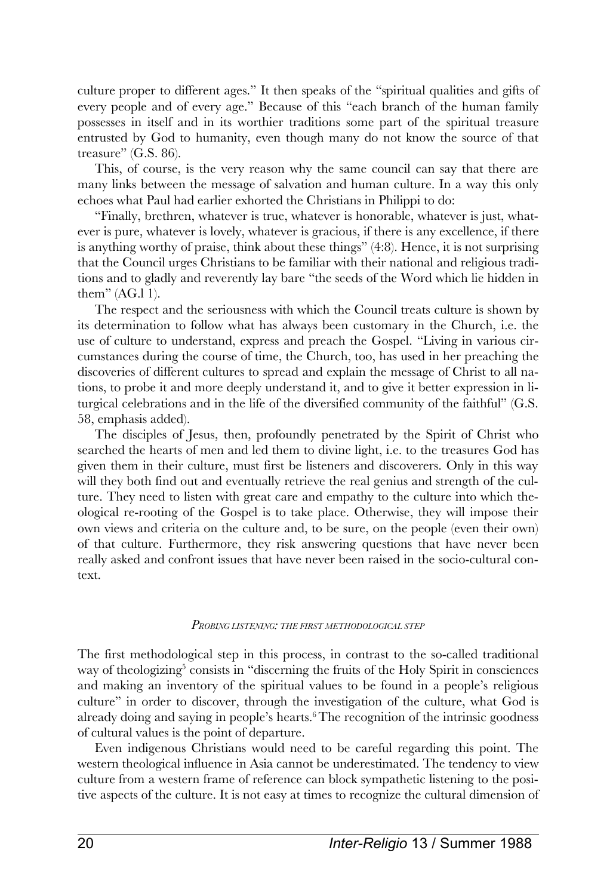culture proper to different ages." It then speaks of the "spiritual qualities and gifts of every people and of every age." Because of this "each branch of the human family possesses in itself and in its worthier traditions some part of the spiritual treasure entrusted by God to humanity, even though many do not know the source of that treasure" (G.S. 86).

This, of course, is the very reason why the same council can say that there are many links between the message of salvation and human culture. In a way this only echoes what Paul had earlier exhorted the Christians in Philippi to do:

"Finally, brethren, whatever is true, whatever is honorable, whatever is just, whatever is pure, whatever is lovely, whatever is gracious, if there is any excellence, if there is anything worthy of praise, think about these things" (4:8). Hence, it is not surprising that the Council urges Christians to be familiar with their national and religious traditions and to gladly and reverently lay bare "the seeds of the Word which lie hidden in them" (AG.l 1).

The respect and the seriousness with which the Council treats culture is shown by its determination to follow what has always been customary in the Church, i.e. the use of culture to understand, express and preach the Gospel. "Living in various circumstances during the course of time, the Church, too, has used in her preaching the discoveries of different cultures to spread and explain the message of Christ to all nations, to probe it and more deeply understand it, and to give it better expression in liturgical celebrations and in the life of the diversified community of the faithful" (G.S. 58, emphasis added).

The disciples of Jesus, then, profoundly penetrated by the Spirit of Christ who searched the hearts of men and led them to divine light, i.e. to the treasures God has given them in their culture, must first be listeners and discoverers. Only in this way will they both find out and eventually retrieve the real genius and strength of the culture. They need to listen with great care and empathy to the culture into which theological re-rooting of the Gospel is to take place. Otherwise, they will impose their own views and criteria on the culture and, to be sure, on the people (even their own) of that culture. Furthermore, they risk answering questions that have never been really asked and confront issues that have never been raised in the socio-cultural context.

#### *PROBING LISTENING: THE FIRST METHODOLOGICAL STEP*

The first methodological step in this process, in contrast to the so-called traditional way of theologizing<sup>5</sup> consists in "discerning the fruits of the Holy Spirit in consciences and making an inventory of the spiritual values to be found in a people's religious culture" in order to discover, through the investigation of the culture, what God is already doing and saying in people's hearts.<sup>6</sup>The recognition of the intrinsic goodness of cultural values is the point of departure.

Even indigenous Christians would need to be careful regarding this point. The western theological influence in Asia cannot be underestimated. The tendency to view culture from a western frame of reference can block sympathetic listening to the positive aspects of the culture. It is not easy at times to recognize the cultural dimension of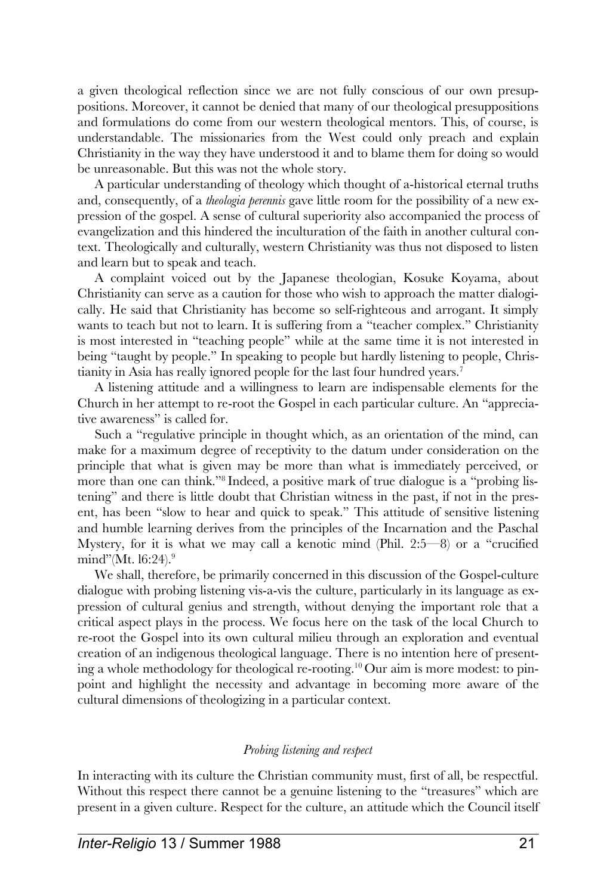a given theological reflection since we are not fully conscious of our own presuppositions. Moreover, it cannot be denied that many of our theological presuppositions and formulations do come from our western theological mentors. This, of course, is understandable. The missionaries from the West could only preach and explain Christianity in the way they have understood it and to blame them for doing so would be unreasonable. But this was not the whole story.

A particular understanding of theology which thought of a-historical eternal truths and, consequently, of a *theologia perennis* gave little room for the possibility of a new expression of the gospel. A sense of cultural superiority also accompanied the process of evangelization and this hindered the inculturation of the faith in another cultural context. Theologically and culturally, western Christianity was thus not disposed to listen and learn but to speak and teach.

A complaint voiced out by the Japanese theologian, Kosuke Koyama, about Christianity can serve as a caution for those who wish to approach the matter dialogically. He said that Christianity has become so self-righteous and arrogant. It simply wants to teach but not to learn. It is suffering from a "teacher complex." Christianity is most interested in "teaching people" while at the same time it is not interested in being "taught by people." In speaking to people but hardly listening to people, Christianity in Asia has really ignored people for the last four hundred years.<sup>7</sup>

A listening attitude and a willingness to learn are indispensable elements for the Church in her attempt to re-root the Gospel in each particular culture. An "appreciative awareness" is called for.

Such a "regulative principle in thought which, as an orientation of the mind, can make for a maximum degree of receptivity to the datum under consideration on the principle that what is given may be more than what is immediately perceived, or more than one can think."<sup>8</sup> Indeed, a positive mark of true dialogue is a "probing listening" and there is little doubt that Christian witness in the past, if not in the present, has been "slow to hear and quick to speak." This attitude of sensitive listening and humble learning derives from the principles of the Incarnation and the Paschal Mystery, for it is what we may call a kenotic mind (Phil.  $2:5-8$ ) or a "crucified mind"(Mt. 16:24). $9$ 

We shall, therefore, be primarily concerned in this discussion of the Gospel-culture dialogue with probing listening vis-a-vis the culture, particularly in its language as expression of cultural genius and strength, without denying the important role that a critical aspect plays in the process. We focus here on the task of the local Church to re-root the Gospel into its own cultural milieu through an exploration and eventual creation of an indigenous theological language. There is no intention here of presenting a whole methodology for theological re-rooting.<sup>10</sup> Our aim is more modest: to pinpoint and highlight the necessity and advantage in becoming more aware of the cultural dimensions of theologizing in a particular context.

# *Probing listening and respect*

In interacting with its culture the Christian community must, first of all, be respectful. Without this respect there cannot be a genuine listening to the "treasures" which are present in a given culture. Respect for the culture, an attitude which the Council itself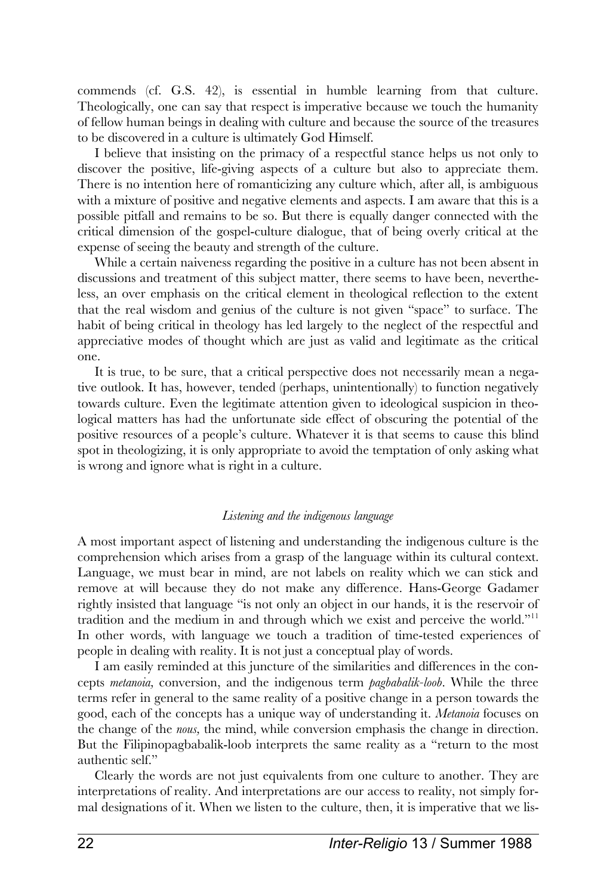commends (cf. G.S. 42), is essential in humble learning from that culture. Theologically, one can say that respect is imperative because we touch the humanity of fellow human beings in dealing with culture and because the source of the treasures to be discovered in a culture is ultimately God Himself.

I believe that insisting on the primacy of a respectful stance helps us not only to discover the positive, life-giving aspects of a culture but also to appreciate them. There is no intention here of romanticizing any culture which, after all, is ambiguous with a mixture of positive and negative elements and aspects. I am aware that this is a possible pitfall and remains to be so. But there is equally danger connected with the critical dimension of the gospel-culture dialogue, that of being overly critical at the expense of seeing the beauty and strength of the culture.

While a certain naiveness regarding the positive in a culture has not been absent in discussions and treatment of this subject matter, there seems to have been, nevertheless, an over emphasis on the critical element in theological reflection to the extent that the real wisdom and genius of the culture is not given "space" to surface. The habit of being critical in theology has led largely to the neglect of the respectful and appreciative modes of thought which are just as valid and legitimate as the critical one.

It is true, to be sure, that a critical perspective does not necessarily mean a negative outlook. It has, however, tended (perhaps, unintentionally) to function negatively towards culture. Even the legitimate attention given to ideological suspicion in theological matters has had the unfortunate side effect of obscuring the potential of the positive resources of a people's culture. Whatever it is that seems to cause this blind spot in theologizing, it is only appropriate to avoid the temptation of only asking what is wrong and ignore what is right in a culture.

### *Listening and the indigenous language*

A most important aspect of listening and understanding the indigenous culture is the comprehension which arises from a grasp of the language within its cultural context. Language, we must bear in mind, are not labels on reality which we can stick and remove at will because they do not make any difference. Hans-George Gadamer rightly insisted that language "is not only an object in our hands, it is the reservoir of tradition and the medium in and through which we exist and perceive the world."<sup>11</sup> In other words, with language we touch a tradition of time-tested experiences of people in dealing with reality. It is not just a conceptual play of words.

I am easily reminded at this juncture of the similarities and differences in the concepts *metanoia,* conversion, and the indigenous term *pagbabalik-loob.* While the three terms refer in general to the same reality of a positive change in a person towards the good, each of the concepts has a unique way of understanding it. *Metanoia* focuses on the change of the *nous,* the mind, while conversion emphasis the change in direction. But the Filipinopagbabalik-loob interprets the same reality as a "return to the most authentic self."

Clearly the words are not just equivalents from one culture to another. They are interpretations of reality. And interpretations are our access to reality, not simply formal designations of it. When we listen to the culture, then, it is imperative that we lis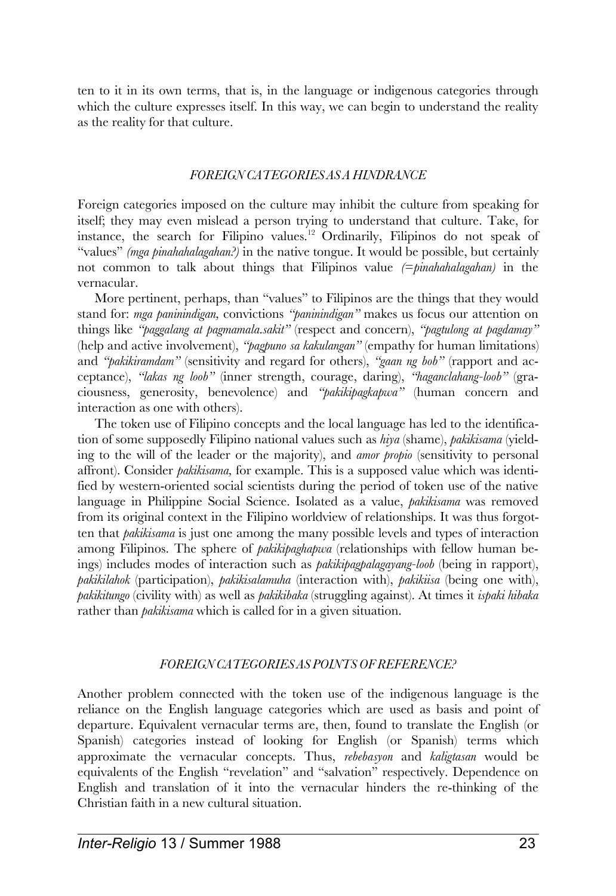ten to it in its own terms, that is, in the language or indigenous categories through which the culture expresses itself. In this way, we can begin to understand the reality as the reality for that culture.

# *FOREIGN CATEGORIES AS A HINDRANCE*

Foreign categories imposed on the culture may inhibit the culture from speaking for itself; they may even mislead a person trying to understand that culture. Take, for instance, the search for Filipino values.<sup>12</sup> Ordinarily, Filipinos do not speak of "values" *(mga pinahahalagahan?)* in the native tongue. It would be possible, but certainly not common to talk about things that Filipinos value *(=pinahahalagahan)* in the vernacular.

More pertinent, perhaps, than "values" to Filipinos are the things that they would stand for: *mga paninindigan,* convictions *"paninindigan"* makes us focus our attention on things like *"paggalang at pagmamala.sakit"* (respect and concern), *"pagtulong at pagdamay"* (help and active involvement), *"pagpuno sa kakulangan"* (empathy for human limitations) and *"pakikiramdam"* (sensitivity and regard for others), *"gaan ng bob"* (rapport and acceptance), *"lakas ng loob"* (inner strength, courage, daring), *"haganclahang-loob"* (graciousness, generosity, benevolence) and *"pakikipagkapwa"* (human concern and interaction as one with others).

The token use of Filipino concepts and the local language has led to the identification of some supposedly Filipino national values such as *hiya* (shame), *pakikisama* (yielding to the will of the leader or the majority), and *amor propio* (sensitivity to personal affront). Consider *pakikisama,* for example. This is a supposed value which was identified by western-oriented social scientists during the period of token use of the native language in Philippine Social Science. Isolated as a value, *pakikisama* was removed from its original context in the Filipino worldview of relationships. It was thus forgotten that *pakikisama* is just one among the many possible levels and types of interaction among Filipinos. The sphere of *pakikipaghapwa* (relationships with fellow human beings) includes modes of interaction such as *pakikipagpalagayang-loob* (being in rapport), *pakikilahok* (participation), *pakikisalamuha* (interaction with), *pakikiisa* (being one with), *pakikitungo* (civility with) as well as *pakikibaka* (struggling against). At times it *ispaki hibaka* rather than *pakikisama* which is called for in a given situation.

# *FOREIGN CATEGORIES AS POINTSOF REFERENCE?*

Another problem connected with the token use of the indigenous language is the reliance on the English language categories which are used as basis and point of departure. Equivalent vernacular terms are, then, found to translate the English (or Spanish) categories instead of looking for English (or Spanish) terms which approximate the vernacular concepts. Thus, *rebebasyon* and *kaligtasan* would be equivalents of the English "revelation" and "salvation" respectively. Dependence on English and translation of it into the vernacular hinders the re-thinking of the Christian faith in a new cultural situation.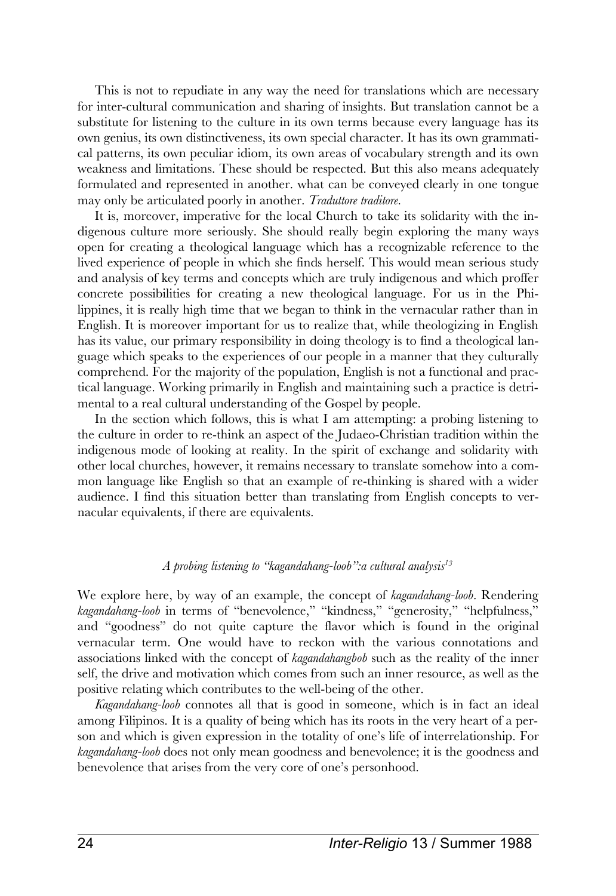This is not to repudiate in any way the need for translations which are necessary for inter-cultural communication and sharing of insights. But translation cannot be a substitute for listening to the culture in its own terms because every language has its own genius, its own distinctiveness, its own special character. It has its own grammatical patterns, its own peculiar idiom, its own areas of vocabulary strength and its own weakness and limitations. These should be respected. But this also means adequately formulated and represented in another. what can be conveyed clearly in one tongue may only be articulated poorly in another. *Traduttore traditore.*

It is, moreover, imperative for the local Church to take its solidarity with the indigenous culture more seriously. She should really begin exploring the many ways open for creating a theological language which has a recognizable reference to the lived experience of people in which she finds herself. This would mean serious study and analysis of key terms and concepts which are truly indigenous and which proffer concrete possibilities for creating a new theological language. For us in the Philippines, it is really high time that we began to think in the vernacular rather than in English. It is moreover important for us to realize that, while theologizing in English has its value, our primary responsibility in doing theology is to find a theological language which speaks to the experiences of our people in a manner that they culturally comprehend. For the majority of the population, English is not a functional and practical language. Working primarily in English and maintaining such a practice is detrimental to a real cultural understanding of the Gospel by people.

In the section which follows, this is what I am attempting: a probing listening to the culture in order to re-think an aspect of the Judaeo-Christian tradition within the indigenous mode of looking at reality. In the spirit of exchange and solidarity with other local churches, however, it remains necessary to translate somehow into a common language like English so that an example of re-thinking is shared with a wider audience. I find this situation better than translating from English concepts to vernacular equivalents, if there are equivalents.

# *A probing listening to "kagandahang-loob":a cultural analysis<sup>13</sup>*

We explore here, by way of an example, the concept of *kagandahang-loob.* Rendering *kagandahang-loob* in terms of "benevolence," "kindness," "generosity," "helpfulness," and "goodness" do not quite capture the flavor which is found in the original vernacular term. One would have to reckon with the various connotations and associations linked with the concept of *kagandahangbob* such as the reality of the inner self, the drive and motivation which comes from such an inner resource, as well as the positive relating which contributes to the well-being of the other.

*Kagandahang-loob* connotes all that is good in someone, which is in fact an ideal among Filipinos. It is a quality of being which has its roots in the very heart of a person and which is given expression in the totality of one's life of interrelationship. For *kagandahang-loob* does not only mean goodness and benevolence; it is the goodness and benevolence that arises from the very core of one's personhood.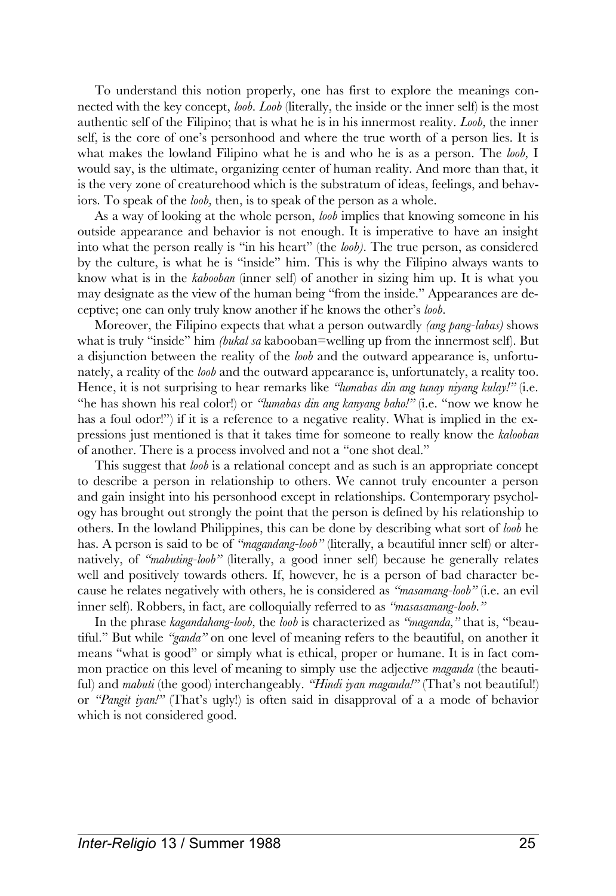To understand this notion properly, one has first to explore the meanings connected with the key concept, *loob. Loob* (literally, the inside or the inner self) is the most authentic self of the Filipino; that is what he is in his innermost reality. *Loob,* the inner self, is the core of one's personhood and where the true worth of a person lies. It is what makes the lowland Filipino what he is and who he is as a person. The *loob,* I would say, is the ultimate, organizing center of human reality. And more than that, it is the very zone of creaturehood which is the substratum of ideas, feelings, and behaviors. To speak of the *loob,* then, is to speak of the person as a whole.

As a way of looking at the whole person, *loob* implies that knowing someone in his outside appearance and behavior is not enough. It is imperative to have an insight into what the person really is "in his heart" (the *loob).* The true person, as considered by the culture, is what he is "inside" him. This is why the Filipino always wants to know what is in the *kabooban* (inner self) of another in sizing him up. It is what you may designate as the view of the human being "from the inside." Appearances are deceptive; one can only truly know another if he knows the other's *loob.*

Moreover, the Filipino expects that what a person outwardly *(ang pang-labas)* shows what is truly "inside" him *(bukal sa* kabooban=welling up from the innermost self). But a disjunction between the reality of the *loob* and the outward appearance is, unfortunately, a reality of the *loob* and the outward appearance is, unfortunately, a reality too. Hence, it is not surprising to hear remarks like *"lumabas din ang tunay niyang kulay!"* (i.e. "he has shown his real color!) or *"lumabas din ang kanyang baho!"* (i.e. "now we know he has a foul odor!") if it is a reference to a negative reality. What is implied in the expressions just mentioned is that it takes time for someone to really know the *kalooban* of another. There is a process involved and not a "one shot deal."

This suggest that *loob* is a relational concept and as such is an appropriate concept to describe a person in relationship to others. We cannot truly encounter a person and gain insight into his personhood except in relationships. Contemporary psychology has brought out strongly the point that the person is defined by his relationship to others. In the lowland Philippines, this can be done by describing what sort of *loob* he has. A person is said to be of *"magandang-loob"* (literally, a beautiful inner self) or alternatively, of *"mabuting-loob"* (literally, a good inner self) because he generally relates well and positively towards others. If, however, he is a person of bad character because he relates negatively with others, he is considered as *"masamang-loob"* (i.e. an evil inner self). Robbers, in fact, are colloquially referred to as *"masasamang-loob."*

In the phrase *kagandahang-loob,* the *loob* is characterized as *"maganda,"* that is, "beautiful." But while *"ganda"* on one level of meaning refers to the beautiful, on another it means "what is good" or simply what is ethical, proper or humane. It is in fact common practice on this level of meaning to simply use the adjective *maganda* (the beautiful) and *mabuti* (the good) interchangeably. *"Hindi iyan maganda!"* (That's not beautiful!) or *"Pangit iyan!"* (That's ugly!) is often said in disapproval of a a mode of behavior which is not considered good.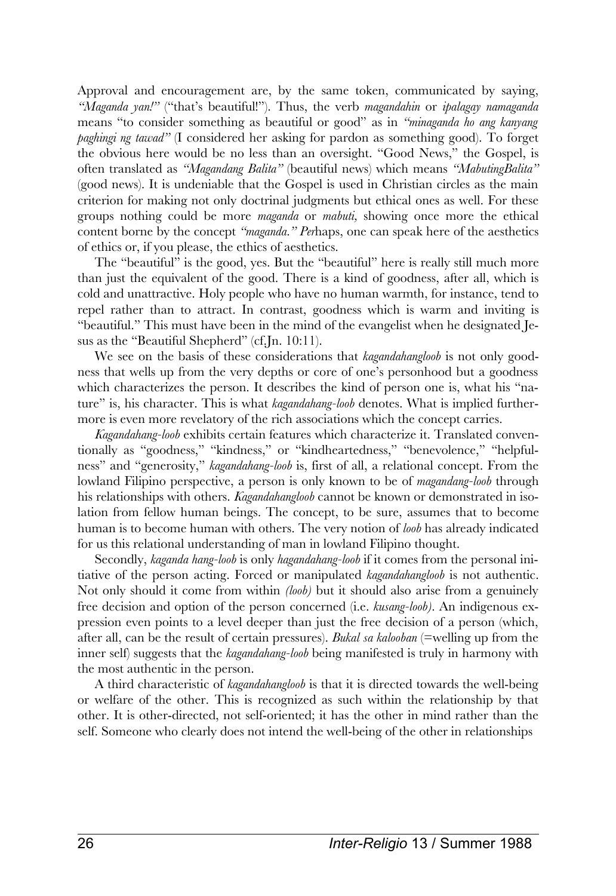Approval and encouragement are, by the same token, communicated by saying, *"Maganda yan!"* ("that's beautiful!"). Thus, the verb *magandahin* or *ipalagay namaganda* means "to consider something as beautiful or good" as in *"minaganda ho ang kanyang paghingi ng tawad"* (I considered her asking for pardon as something good). To forget the obvious here would be no less than an oversight. "Good News," the Gospel, is often translated as *"Magandang Balita"* (beautiful news) which means *"MabutingBalita"* (good news). It is undeniable that the Gospel is used in Christian circles as the main criterion for making not only doctrinal judgments but ethical ones as well. For these groups nothing could be more *maganda* or *mabuti,* showing once more the ethical content borne by the concept *"maganda." Per*haps, one can speak here of the aesthetics of ethics or, if you please, the ethics of aesthetics.

The "beautiful" is the good, yes. But the "beautiful" here is really still much more than just the equivalent of the good. There is a kind of goodness, after all, which is cold and unattractive. Holy people who have no human warmth, for instance, tend to repel rather than to attract. In contrast, goodness which is warm and inviting is "beautiful." This must have been in the mind of the evangelist when he designated Jesus as the "Beautiful Shepherd" (cf.Jn. 10:11).

We see on the basis of these considerations that *kagandahangloob* is not only goodness that wells up from the very depths or core of one's personhood but a goodness which characterizes the person. It describes the kind of person one is, what his "nature" is, his character. This is what *kagandahang-loob* denotes. What is implied furthermore is even more revelatory of the rich associations which the concept carries.

*Kagandahang-loob* exhibits certain features which characterize it. Translated conventionally as "goodness," "kindness," or "kindheartedness," "benevolence," "helpfulness" and "generosity," *kagandahang-loob* is, first of all, a relational concept. From the lowland Filipino perspective, a person is only known to be of *magandang-loob* through his relationships with others. *Kagandahangloob* cannot be known or demonstrated in isolation from fellow human beings. The concept, to be sure, assumes that to become human is to become human with others. The very notion of *loob* has already indicated for us this relational understanding of man in lowland Filipino thought.

Secondly, *kaganda hang-loob* is only *hagandahang-loob* if it comes from the personal initiative of the person acting. Forced or manipulated *kagandahangloob* is not authentic. Not only should it come from within *(loob)* but it should also arise from a genuinely free decision and option of the person concerned (i.e. *kusang-loob).* An indigenous expression even points to a level deeper than just the free decision of a person (which, after all, can be the result of certain pressures). *Bukal sa kalooban* (=welling up from the inner self) suggests that the *kagandahang-loob* being manifested is truly in harmony with the most authentic in the person.

A third characteristic of *kagandahangloob* is that it is directed towards the well-being or welfare of the other. This is recognized as such within the relationship by that other. It is other-directed, not self-oriented; it has the other in mind rather than the self. Someone who clearly does not intend the well-being of the other in relationships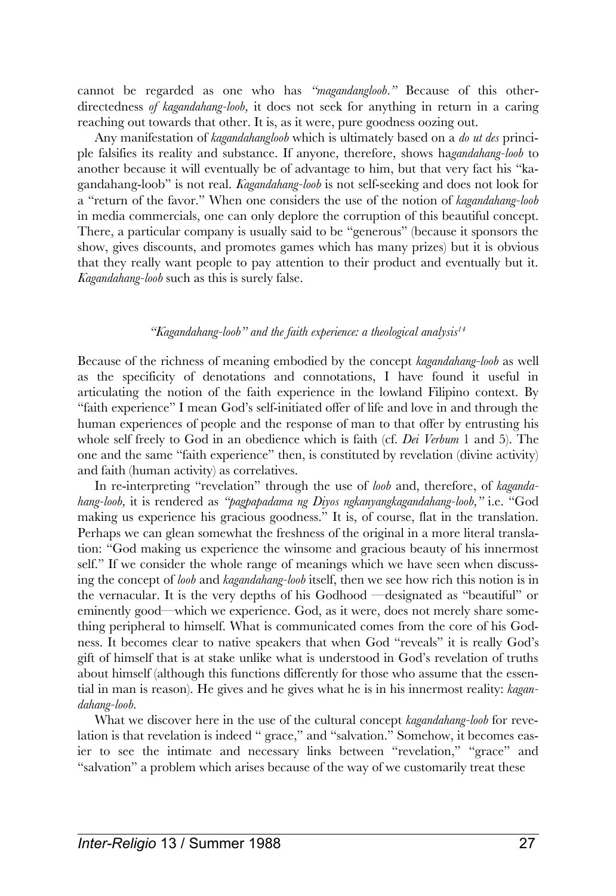cannot be regarded as one who has *"magandangloob."* Because of this otherdirectedness *of kagandahang-loob,* it does not seek for anything in return in a caring reaching out towards that other. It is, as it were, pure goodness oozing out.

Any manifestation of *kagandahangloob* which is ultimately based on a *do ut des* principle falsifies its reality and substance. If anyone, therefore, shows ha*gandahang-loob* to another because it will eventually be of advantage to him, but that very fact his "kagandahang-loob" is not real. *Kagandahang-loob* is not self-seeking and does not look for a "return of the favor." When one considers the use of the notion of *kagandahang-loob* in media commercials, one can only deplore the corruption of this beautiful concept. There, a particular company is usually said to be "generous" (because it sponsors the show, gives discounts, and promotes games which has many prizes) but it is obvious that they really want people to pay attention to their product and eventually but it. *Kagandahang-loob* such as this is surely false.

# *"Kagandahang-loob" and the faith experience: a theological analysis<sup>14</sup>*

Because of the richness of meaning embodied by the concept *kagandahang-loob* as well as the specificity of denotations and connotations, I have found it useful in articulating the notion of the faith experience in the lowland Filipino context. By "faith experience" I mean God's self-initiated offer of life and love in and through the human experiences of people and the response of man to that offer by entrusting his whole self freely to God in an obedience which is faith (cf. *Dei Verbum* 1 and 5). The one and the same "faith experience" then, is constituted by revelation (divine activity) and faith (human activity) as correlatives.

In re-interpreting "revelation" through the use of *loob* and, therefore, of *kagandahang-loob,* it is rendered as *"pagpapadama ng Diyos ngkanyangkagandahang-loob,"* i.e. "God making us experience his gracious goodness." It is, of course, flat in the translation. Perhaps we can glean somewhat the freshness of the original in a more literal translation: "God making us experience the winsome and gracious beauty of his innermost self." If we consider the whole range of meanings which we have seen when discussing the concept of *loob* and *kagandahang-loob* itself, then we see how rich this notion is in the vernacular. It is the very depths of his Godhood —designated as "beautiful" or eminently good—which we experience. God, as it were, does not merely share something peripheral to himself. What is communicated comes from the core of his Godness. It becomes clear to native speakers that when God "reveals" it is really God's gift of himself that is at stake unlike what is understood in God's revelation of truths about himself (although this functions differently for those who assume that the essential in man is reason). He gives and he gives what he is in his innermost reality: *kagandahang-loob.*

What we discover here in the use of the cultural concept *kagandahang-loob* for revelation is that revelation is indeed " grace," and "salvation." Somehow, it becomes easier to see the intimate and necessary links between "revelation," "grace" and "salvation" a problem which arises because of the way of we customarily treat these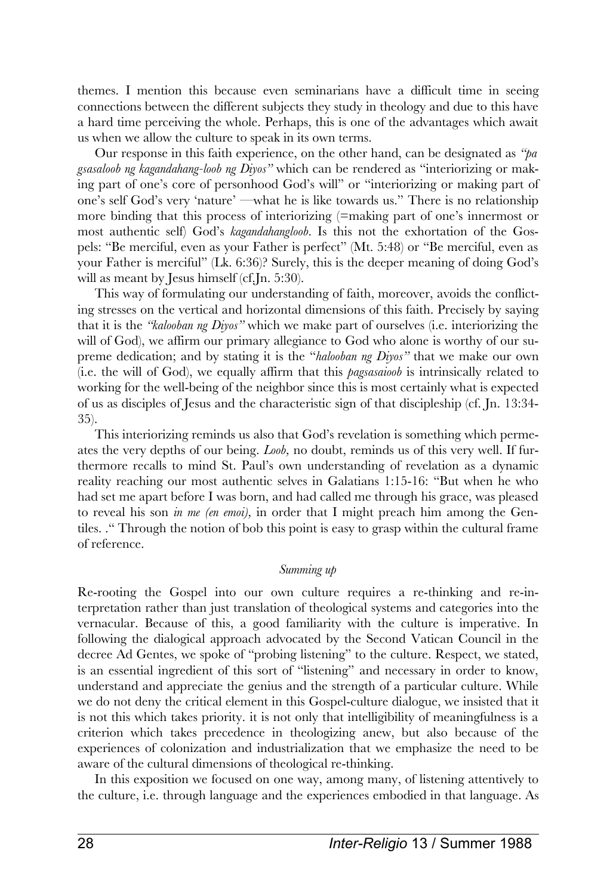themes. I mention this because even seminarians have a difficult time in seeing connections between the different subjects they study in theology and due to this have a hard time perceiving the whole. Perhaps, this is one of the advantages which await us when we allow the culture to speak in its own terms.

Our response in this faith experience, on the other hand, can be designated as *"pa gsasaloob ng kagandahang-loob ng Diyos"* which can be rendered as "interiorizing or making part of one's core of personhood God's will" or "interiorizing or making part of one's self God's very 'nature' —what he is like towards us." There is no relationship more binding that this process of interiorizing (=making part of one's innermost or most authentic self) God's *kagandahangloob.* Is this not the exhortation of the Gospels: "Be merciful, even as your Father is perfect" (Mt. 5:48) or "Be merciful, even as your Father is merciful" (Lk. 6:36)? Surely, this is the deeper meaning of doing God's will as meant by Jesus himself (cf.Jn. 5:30).

This way of formulating our understanding of faith, moreover, avoids the conflicting stresses on the vertical and horizontal dimensions of this faith. Precisely by saying that it is the *"kalooban ng Diyos"* which we make part of ourselves (i.e. interiorizing the will of God), we affirm our primary allegiance to God who alone is worthy of our supreme dedication; and by stating it is the "*halooban ng Diyos"* that we make our own (i.e. the will of God), we equally affirm that this *pagsasaioob* is intrinsically related to working for the well-being of the neighbor since this is most certainly what is expected of us as disciples of Jesus and the characteristic sign of that discipleship (cf. Jn. 13:34- 35).

This interiorizing reminds us also that God's revelation is something which permeates the very depths of our being. *Loob,* no doubt, reminds us of this very well. If furthermore recalls to mind St. Paul's own understanding of revelation as a dynamic reality reaching our most authentic selves in Galatians 1:15-16: "But when he who had set me apart before I was born, and had called me through his grace, was pleased to reveal his son *in me (en emoi),* in order that I might preach him among the Gentiles. ." Through the notion of bob this point is easy to grasp within the cultural frame of reference.

### *Summing up*

Re-rooting the Gospel into our own culture requires a re-thinking and re-interpretation rather than just translation of theological systems and categories into the vernacular. Because of this, a good familiarity with the culture is imperative. In following the dialogical approach advocated by the Second Vatican Council in the decree Ad Gentes, we spoke of "probing listening" to the culture. Respect, we stated, is an essential ingredient of this sort of "listening" and necessary in order to know, understand and appreciate the genius and the strength of a particular culture. While we do not deny the critical element in this Gospel-culture dialogue, we insisted that it is not this which takes priority. it is not only that intelligibility of meaningfulness is a criterion which takes precedence in theologizing anew, but also because of the experiences of colonization and industrialization that we emphasize the need to be aware of the cultural dimensions of theological re-thinking.

In this exposition we focused on one way, among many, of listening attentively to the culture, i.e. through language and the experiences embodied in that language. As